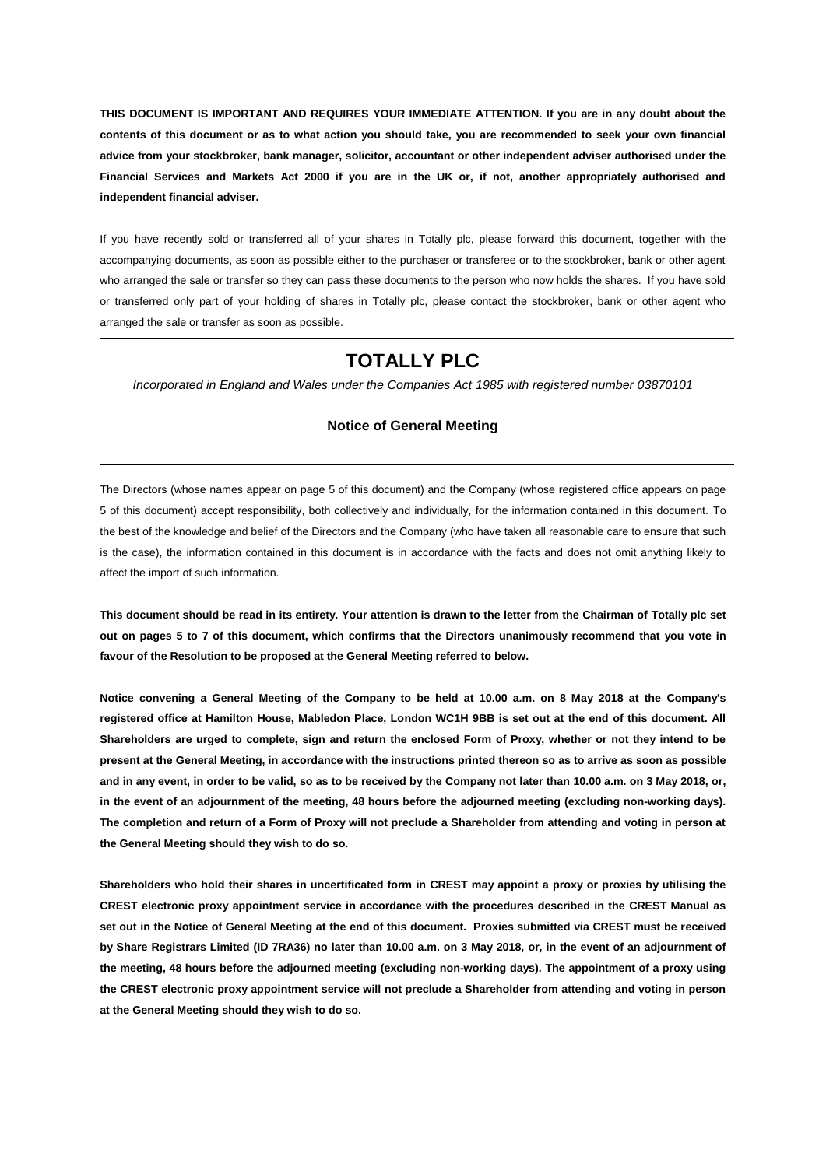**THIS DOCUMENT IS IMPORTANT AND REQUIRES YOUR IMMEDIATE ATTENTION. If you are in any doubt about the contents of this document or as to what action you should take, you are recommended to seek your own financial advice from your stockbroker, bank manager, solicitor, accountant or other independent adviser authorised under the Financial Services and Markets Act 2000 if you are in the UK or, if not, another appropriately authorised and independent financial adviser.** 

If you have recently sold or transferred all of your shares in Totally plc, please forward this document, together with the accompanying documents, as soon as possible either to the purchaser or transferee or to the stockbroker, bank or other agent who arranged the sale or transfer so they can pass these documents to the person who now holds the shares. If you have sold or transferred only part of your holding of shares in Totally plc, please contact the stockbroker, bank or other agent who arranged the sale or transfer as soon as possible.

## **TOTALLY PLC**

*Incorporated in England and Wales under the Companies Act 1985 with registered number 03870101*

#### **Notice of General Meeting**

The Directors (whose names appear on page [5](#page-4-0) of this document) and the Company (whose registered office appears on page [5](#page-4-0) of this document) accept responsibility, both collectively and individually, for the information contained in this document. To the best of the knowledge and belief of the Directors and the Company (who have taken all reasonable care to ensure that such is the case), the information contained in this document is in accordance with the facts and does not omit anything likely to affect the import of such information.

**This document should be read in its entirety. Your attention is drawn to the letter from the Chairman of Totally plc set out on pages [5](#page-4-0) to [7](#page-6-0) of this document, which confirms that the Directors unanimously recommend that you vote in favour of the Resolution to be proposed at the General Meeting referred to below.**

**Notice convening a General Meeting of the Company to be held at 10.00 a.m. on 8 May 2018 at the Company's registered office at Hamilton House, Mabledon Place, London WC1H 9BB is set out at the end of this document. All Shareholders are urged to complete, sign and return the enclosed Form of Proxy, whether or not they intend to be present at the General Meeting, in accordance with the instructions printed thereon so as to arrive as soon as possible and in any event, in order to be valid, so as to be received by the Company not later than 10.00 a.m. on 3 May 2018, or, in the event of an adjournment of the meeting, 48 hours before the adjourned meeting (excluding non-working days). The completion and return of a Form of Proxy will not preclude a Shareholder from attending and voting in person at the General Meeting should they wish to do so.**

**Shareholders who hold their shares in uncertificated form in CREST may appoint a proxy or proxies by utilising the CREST electronic proxy appointment service in accordance with the procedures described in the CREST Manual as set out in the Notice of General Meeting at the end of this document. Proxies submitted via CREST must be received by Share Registrars Limited (ID 7RA36) no later than 10.00 a.m. on 3 May 2018, or, in the event of an adjournment of the meeting, 48 hours before the adjourned meeting (excluding non-working days). The appointment of a proxy using the CREST electronic proxy appointment service will not preclude a Shareholder from attending and voting in person at the General Meeting should they wish to do so.**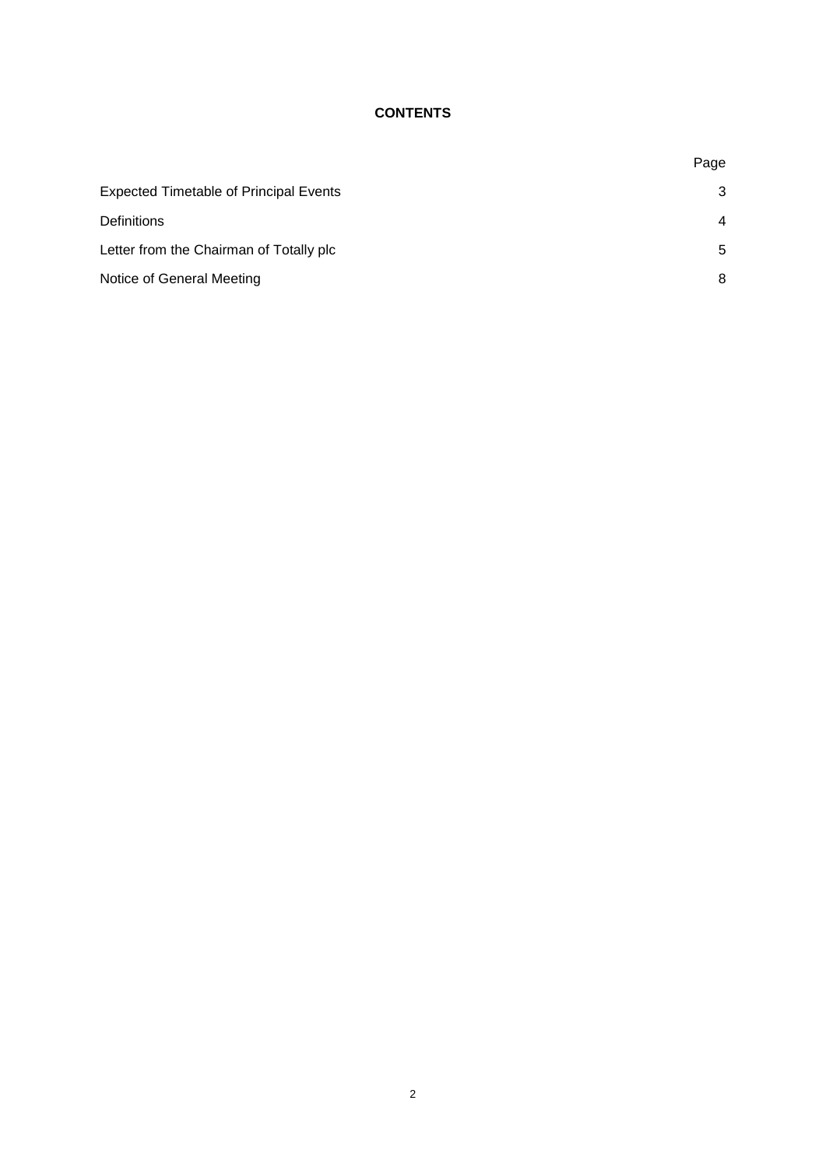## **CONTENTS**

|                                               | Page           |
|-----------------------------------------------|----------------|
| <b>Expected Timetable of Principal Events</b> | 3              |
| <b>Definitions</b>                            | $\overline{4}$ |
| Letter from the Chairman of Totally plc       | 5              |
| Notice of General Meeting                     | 8              |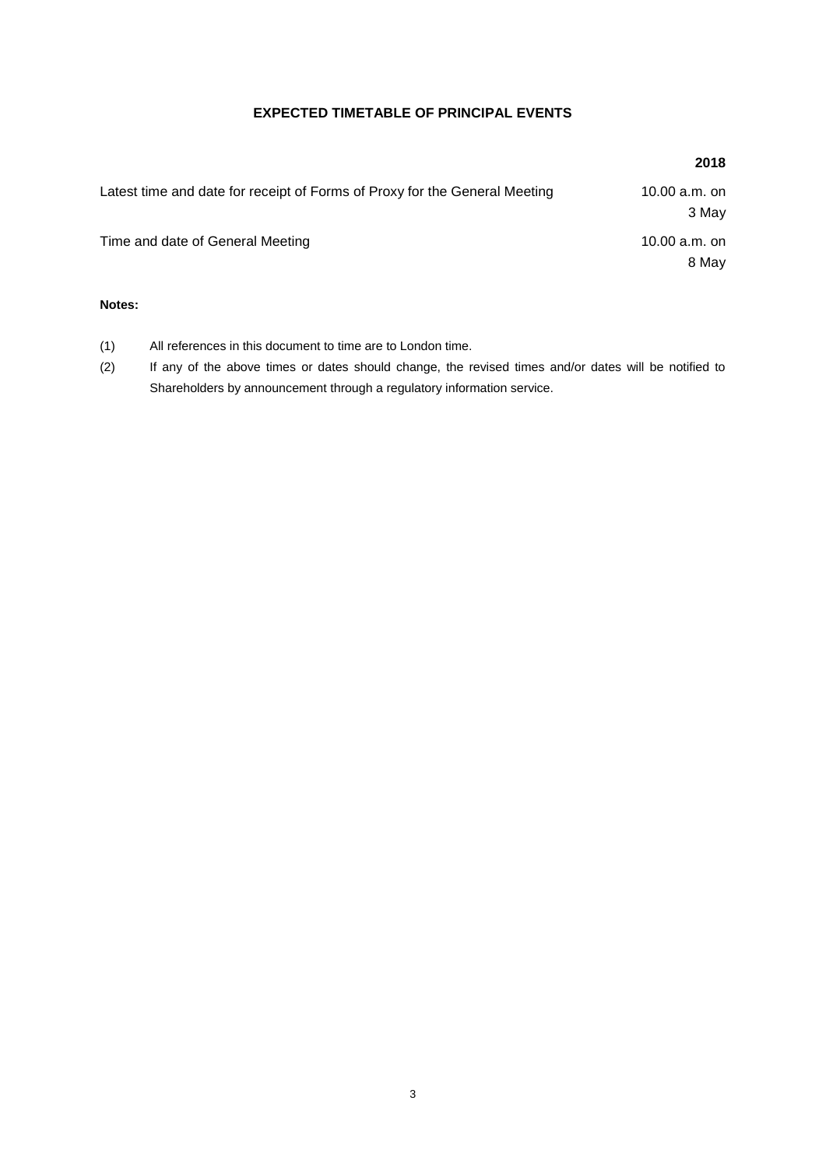### **EXPECTED TIMETABLE OF PRINCIPAL EVENTS**

| Latest time and date for receipt of Forms of Proxy for the General Meeting | 10.00 $a.m.$ on |
|----------------------------------------------------------------------------|-----------------|
|                                                                            | 3 May           |
| Time and date of General Meeting                                           | 10.00 $a.m.$ on |
|                                                                            | 8 May           |
|                                                                            |                 |

#### **Notes:**

- (1) All references in this document to time are to London time.
- (2) If any of the above times or dates should change, the revised times and/or dates will be notified to Shareholders by announcement through a regulatory information service.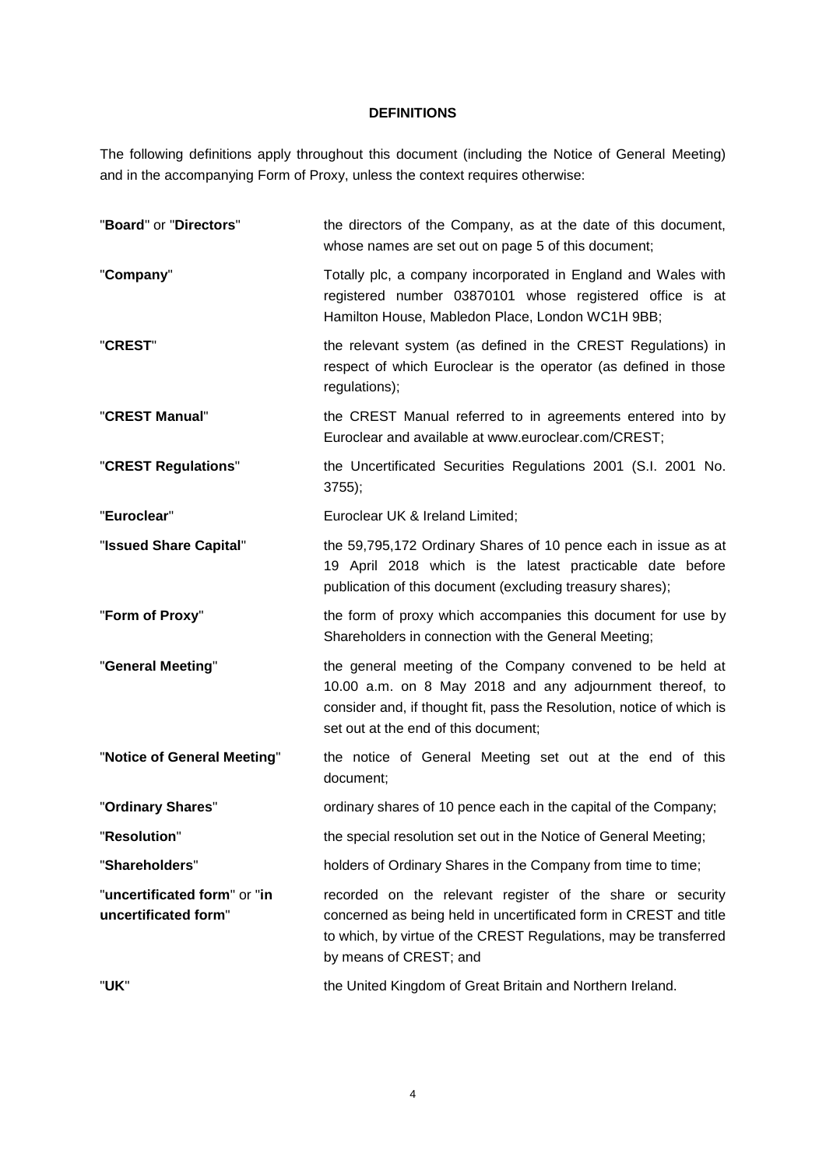### **DEFINITIONS**

The following definitions apply throughout this document (including the Notice of General Meeting) and in the accompanying Form of Proxy, unless the context requires otherwise:

| "Board" or "Directors"                               | the directors of the Company, as at the date of this document,<br>whose names are set out on page 5 of this document;                                                                                                                  |
|------------------------------------------------------|----------------------------------------------------------------------------------------------------------------------------------------------------------------------------------------------------------------------------------------|
| "Company"                                            | Totally plc, a company incorporated in England and Wales with<br>registered number 03870101 whose registered office is at<br>Hamilton House, Mabledon Place, London WC1H 9BB;                                                          |
| "CREST"                                              | the relevant system (as defined in the CREST Regulations) in<br>respect of which Euroclear is the operator (as defined in those<br>regulations);                                                                                       |
| "CREST Manual"                                       | the CREST Manual referred to in agreements entered into by<br>Euroclear and available at www.euroclear.com/CREST;                                                                                                                      |
| "CREST Regulations"                                  | the Uncertificated Securities Regulations 2001 (S.I. 2001 No.<br>$3755$ ;                                                                                                                                                              |
| "Euroclear"                                          | Euroclear UK & Ireland Limited;                                                                                                                                                                                                        |
| "Issued Share Capital"                               | the 59,795,172 Ordinary Shares of 10 pence each in issue as at<br>19 April 2018 which is the latest practicable date before<br>publication of this document (excluding treasury shares);                                               |
| "Form of Proxy"                                      | the form of proxy which accompanies this document for use by<br>Shareholders in connection with the General Meeting;                                                                                                                   |
| "General Meeting"                                    | the general meeting of the Company convened to be held at<br>10.00 a.m. on 8 May 2018 and any adjournment thereof, to<br>consider and, if thought fit, pass the Resolution, notice of which is<br>set out at the end of this document; |
| "Notice of General Meeting"                          | the notice of General Meeting set out at the end of this<br>document;                                                                                                                                                                  |
| "Ordinary Shares"                                    | ordinary shares of 10 pence each in the capital of the Company;                                                                                                                                                                        |
| "Resolution"                                         | the special resolution set out in the Notice of General Meeting;                                                                                                                                                                       |
| "Shareholders"                                       | holders of Ordinary Shares in the Company from time to time;                                                                                                                                                                           |
| "uncertificated form" or "in<br>uncertificated form" | recorded on the relevant register of the share or security<br>concerned as being held in uncertificated form in CREST and title<br>to which, by virtue of the CREST Regulations, may be transferred<br>by means of CREST; and          |
| "UK"                                                 | the United Kingdom of Great Britain and Northern Ireland.                                                                                                                                                                              |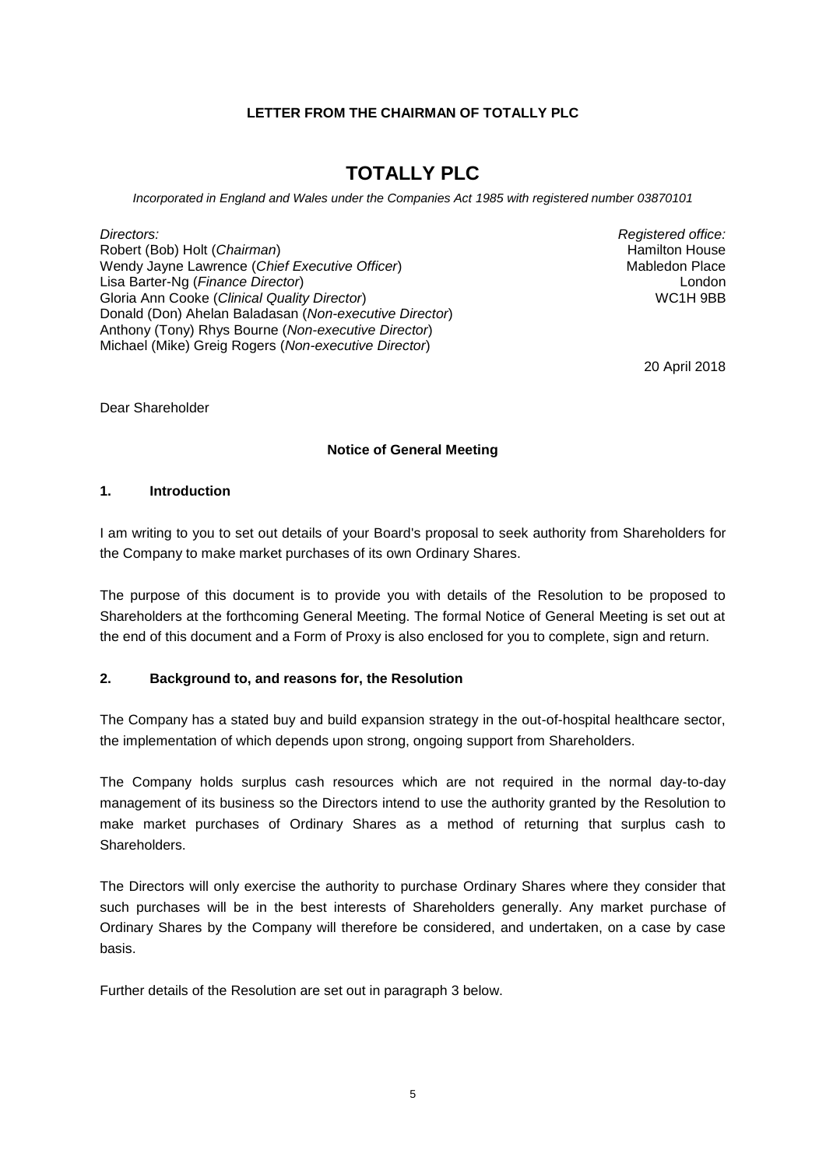### **LETTER FROM THE CHAIRMAN OF TOTALLY PLC**

## **TOTALLY PLC**

*Incorporated in England and Wales under the Companies Act 1985 with registered number 03870101*

*Directors:* Robert (Bob) Holt (*Chairman*) Wendy Jayne Lawrence (*Chief Executive Officer*) Lisa Barter-Ng (*Finance Director*) Gloria Ann Cooke (*Clinical Quality Director*) Donald (Don) Ahelan Baladasan (*Non-executive Director*) Anthony (Tony) Rhys Bourne (*Non-executive Director*) Michael (Mike) Greig Rogers (*Non-executive Director*)

*Registered office:* Hamilton House Mabledon Place London WC1H 9BB

20 April 2018

Dear Shareholder

#### **Notice of General Meeting**

#### <span id="page-4-0"></span>**1. Introduction**

I am writing to you to set out details of your Board's proposal to seek authority from Shareholders for the Company to make market purchases of its own Ordinary Shares.

The purpose of this document is to provide you with details of the Resolution to be proposed to Shareholders at the forthcoming General Meeting. The formal Notice of General Meeting is set out at the end of this document and a Form of Proxy is also enclosed for you to complete, sign and return.

### **2. Background to, and reasons for, the Resolution**

The Company has a stated buy and build expansion strategy in the out-of-hospital healthcare sector, the implementation of which depends upon strong, ongoing support from Shareholders.

The Company holds surplus cash resources which are not required in the normal day-to-day management of its business so the Directors intend to use the authority granted by the Resolution to make market purchases of Ordinary Shares as a method of returning that surplus cash to Shareholders.

The Directors will only exercise the authority to purchase Ordinary Shares where they consider that such purchases will be in the best interests of Shareholders generally. Any market purchase of Ordinary Shares by the Company will therefore be considered, and undertaken, on a case by case basis.

Further details of the Resolution are set out in paragraph [3](#page-5-0) below.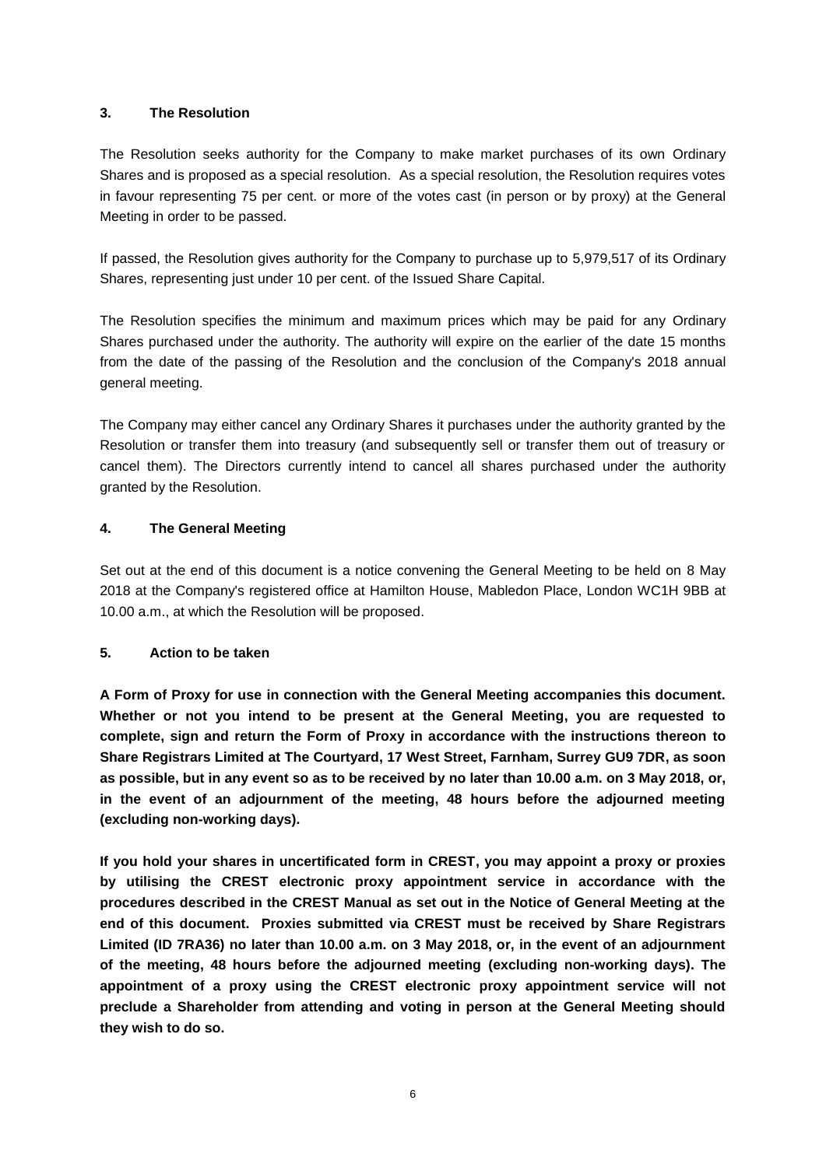### <span id="page-5-0"></span>**3. The Resolution**

The Resolution seeks authority for the Company to make market purchases of its own Ordinary Shares and is proposed as a special resolution. As a special resolution, the Resolution requires votes in favour representing 75 per cent. or more of the votes cast (in person or by proxy) at the General Meeting in order to be passed.

If passed, the Resolution gives authority for the Company to purchase up to 5,979,517 of its Ordinary Shares, representing just under 10 per cent. of the Issued Share Capital.

The Resolution specifies the minimum and maximum prices which may be paid for any Ordinary Shares purchased under the authority. The authority will expire on the earlier of the date 15 months from the date of the passing of the Resolution and the conclusion of the Company's 2018 annual general meeting.

The Company may either cancel any Ordinary Shares it purchases under the authority granted by the Resolution or transfer them into treasury (and subsequently sell or transfer them out of treasury or cancel them). The Directors currently intend to cancel all shares purchased under the authority granted by the Resolution.

## **4. The General Meeting**

Set out at the end of this document is a notice convening the General Meeting to be held on 8 May 2018 at the Company's registered office at Hamilton House, Mabledon Place, London WC1H 9BB at 10.00 a.m., at which the Resolution will be proposed.

#### **5. Action to be taken**

**A Form of Proxy for use in connection with the General Meeting accompanies this document. Whether or not you intend to be present at the General Meeting, you are requested to complete, sign and return the Form of Proxy in accordance with the instructions thereon to Share Registrars Limited at The Courtyard, 17 West Street, Farnham, Surrey GU9 7DR, as soon as possible, but in any event so as to be received by no later than 10.00 a.m. on 3 May 2018, or, in the event of an adjournment of the meeting, 48 hours before the adjourned meeting (excluding non-working days).**

**If you hold your shares in uncertificated form in CREST, you may appoint a proxy or proxies by utilising the CREST electronic proxy appointment service in accordance with the procedures described in the CREST Manual as set out in the Notice of General Meeting at the end of this document. Proxies submitted via CREST must be received by Share Registrars Limited (ID 7RA36) no later than 10.00 a.m. on 3 May 2018, or, in the event of an adjournment of the meeting, 48 hours before the adjourned meeting (excluding non-working days). The appointment of a proxy using the CREST electronic proxy appointment service will not preclude a Shareholder from attending and voting in person at the General Meeting should they wish to do so.**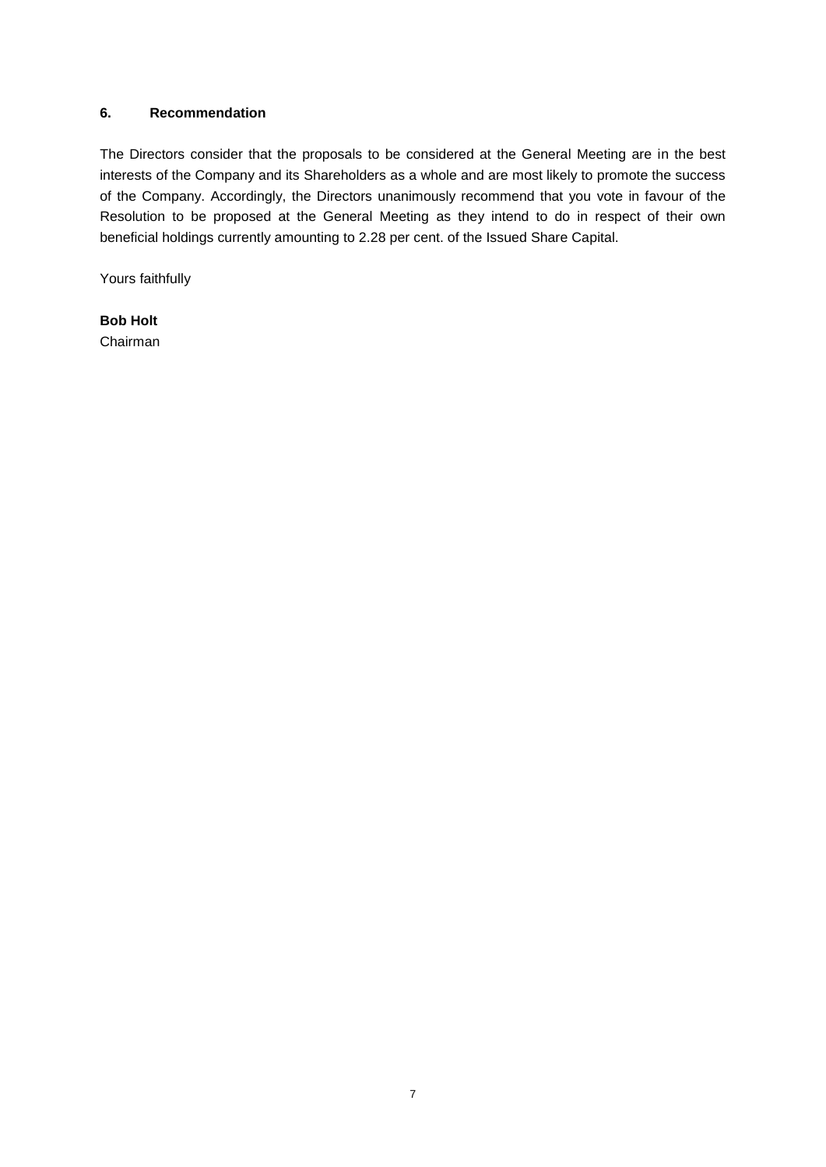### <span id="page-6-0"></span>**6. Recommendation**

The Directors consider that the proposals to be considered at the General Meeting are in the best interests of the Company and its Shareholders as a whole and are most likely to promote the success of the Company. Accordingly, the Directors unanimously recommend that you vote in favour of the Resolution to be proposed at the General Meeting as they intend to do in respect of their own beneficial holdings currently amounting to 2.28 per cent. of the Issued Share Capital.

Yours faithfully

**Bob Holt** Chairman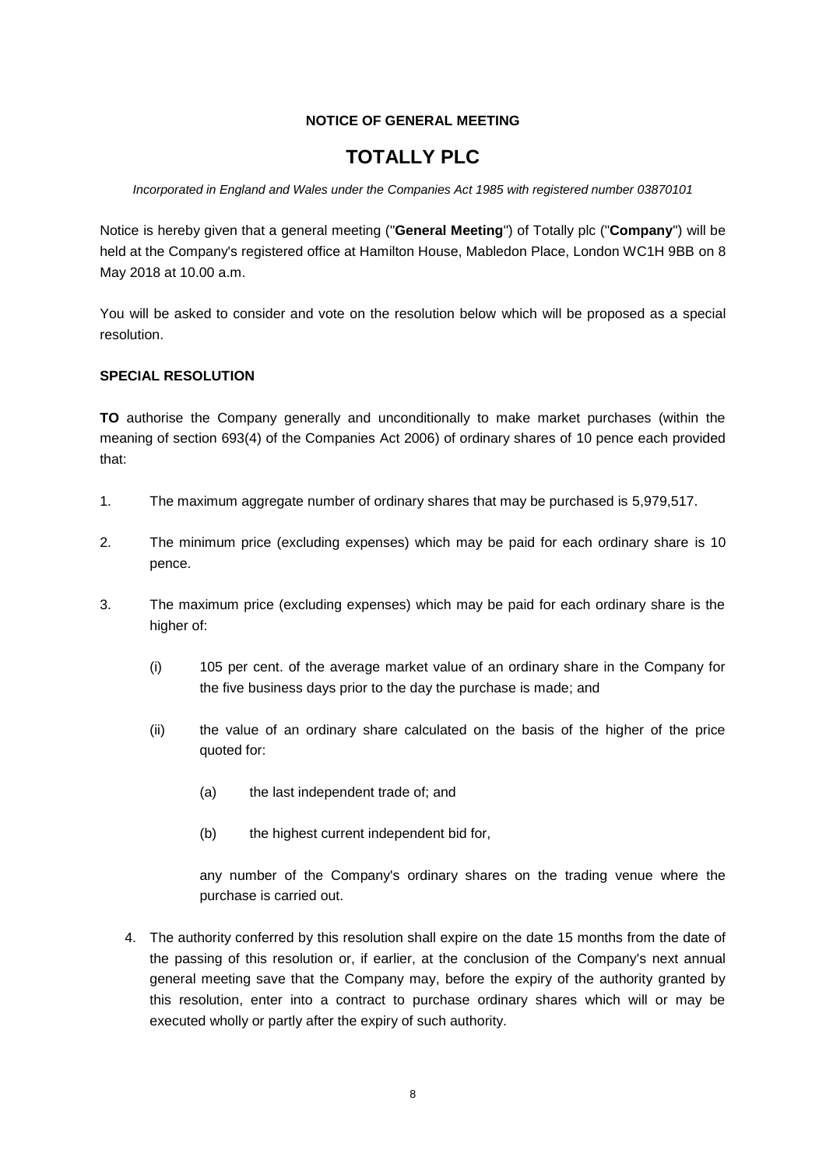## **NOTICE OF GENERAL MEETING**

# **TOTALLY PLC**

#### *Incorporated in England and Wales under the Companies Act 1985 with registered number 03870101*

Notice is hereby given that a general meeting ("**General Meeting**") of Totally plc ("**Company**") will be held at the Company's registered office at Hamilton House, Mabledon Place, London WC1H 9BB on 8 May 2018 at 10.00 a.m.

You will be asked to consider and vote on the resolution below which will be proposed as a special resolution.

## **SPECIAL RESOLUTION**

**TO** authorise the Company generally and unconditionally to make market purchases (within the meaning of section 693(4) of the Companies Act 2006) of ordinary shares of 10 pence each provided that:

- <span id="page-7-0"></span>1. The maximum aggregate number of ordinary shares that may be purchased is 5,979,517.
- 2. The minimum price (excluding expenses) which may be paid for each ordinary share is 10 pence.
- 3. The maximum price (excluding expenses) which may be paid for each ordinary share is the higher of:
	- (i) 105 per cent. of the average market value of an ordinary share in the Company for the five business days prior to the day the purchase is made; and
	- (ii) the value of an ordinary share calculated on the basis of the higher of the price quoted for:
		- (a) the last independent trade of; and
		- (b) the highest current independent bid for,

any number of the Company's ordinary shares on the trading venue where the purchase is carried out.

4. The authority conferred by this resolution shall expire on the date 15 months from the date of the passing of this resolution or, if earlier, at the conclusion of the Company's next annual general meeting save that the Company may, before the expiry of the authority granted by this resolution, enter into a contract to purchase ordinary shares which will or may be executed wholly or partly after the expiry of such authority.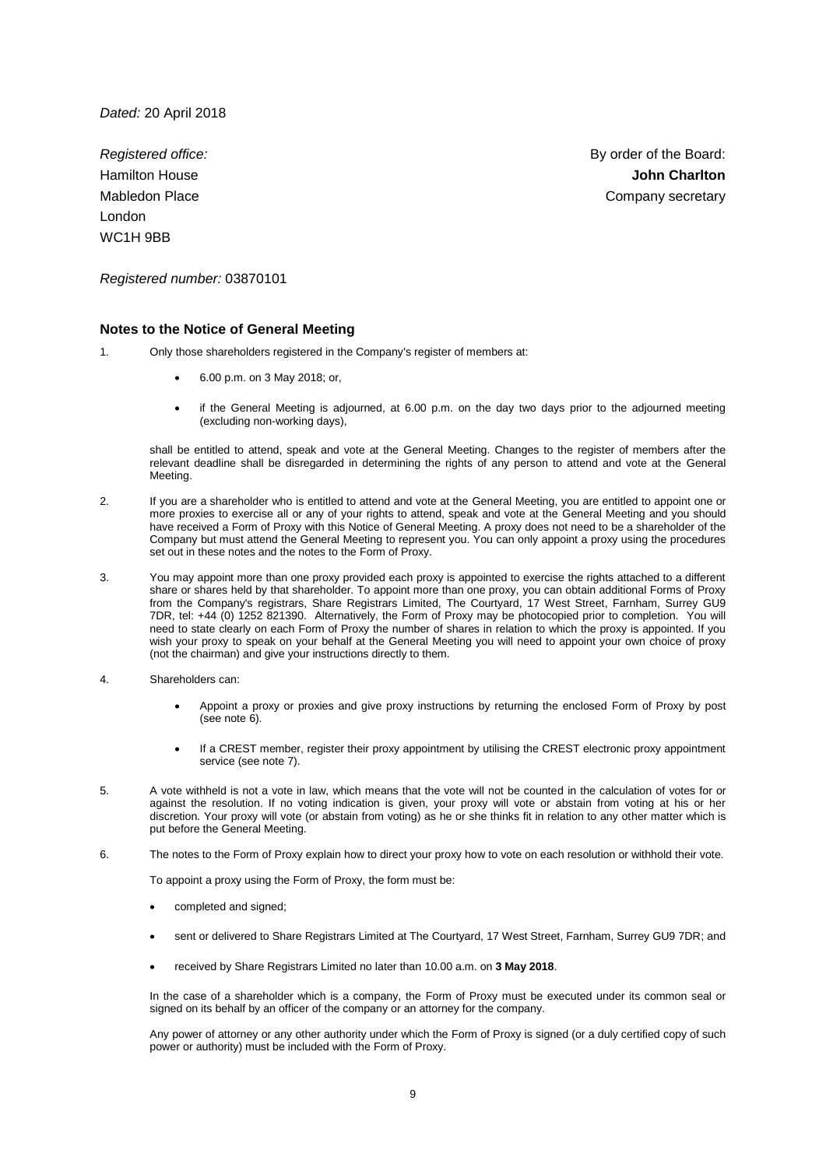*Dated:* 20 April 2018

*Registered office:*  Hamilton House Mabledon Place London WC1H 9BB

By order of the Board: **John Charlton** Company secretary

*Registered number:* 03870101

#### **Notes to the Notice of General Meeting**

- 1. Only those shareholders registered in the Company's register of members at:
	- 6.00 p.m. on 3 May 2018; or,
	- if the General Meeting is adjourned, at 6.00 p.m. on the day two days prior to the adjourned meeting (excluding non-working days),

shall be entitled to attend, speak and vote at the General Meeting. Changes to the register of members after the relevant deadline shall be disregarded in determining the rights of any person to attend and vote at the General Meeting.

- 2. If you are a shareholder who is entitled to attend and vote at the General Meeting, you are entitled to appoint one or more proxies to exercise all or any of your rights to attend, speak and vote at the General Meeting and you should have received a Form of Proxy with this Notice of General Meeting. A proxy does not need to be a shareholder of the Company but must attend the General Meeting to represent you. You can only appoint a proxy using the procedures set out in these notes and the notes to the Form of Proxy.
- 3. You may appoint more than one proxy provided each proxy is appointed to exercise the rights attached to a different share or shares held by that shareholder. To appoint more than one proxy, you can obtain additional Forms of Proxy from the Company's registrars, Share Registrars Limited, The Courtyard, 17 West Street, Farnham, Surrey GU9 7DR, tel: +44 (0) 1252 821390. Alternatively, the Form of Proxy may be photocopied prior to completion. You will need to state clearly on each Form of Proxy the number of shares in relation to which the proxy is appointed. If you wish your proxy to speak on your behalf at the General Meeting you will need to appoint your own choice of proxy (not the chairman) and give your instructions directly to them.
- 4. Shareholders can:
	- Appoint a proxy or proxies and give proxy instructions by returning the enclosed Form of Proxy by post (see not[e 6\)](#page-8-0).
	- If a CREST member, register their proxy appointment by utilising the CREST electronic proxy appointment service (see not[e 7\)](#page-9-0).
- 5. A vote withheld is not a vote in law, which means that the vote will not be counted in the calculation of votes for or against the resolution. If no voting indication is given, your proxy will vote or abstain from voting at his or her discretion. Your proxy will vote (or abstain from voting) as he or she thinks fit in relation to any other matter which is put before the General Meeting.
- <span id="page-8-0"></span>6. The notes to the Form of Proxy explain how to direct your proxy how to vote on each resolution or withhold their vote.

To appoint a proxy using the Form of Proxy, the form must be:

- completed and signed;
- sent or delivered to Share Registrars Limited at The Courtyard, 17 West Street, Farnham, Surrey GU9 7DR; and
- received by Share Registrars Limited no later than 10.00 a.m. on **3 May 2018**.

In the case of a shareholder which is a company, the Form of Proxy must be executed under its common seal or signed on its behalf by an officer of the company or an attorney for the company.

Any power of attorney or any other authority under which the Form of Proxy is signed (or a duly certified copy of such power or authority) must be included with the Form of Proxy.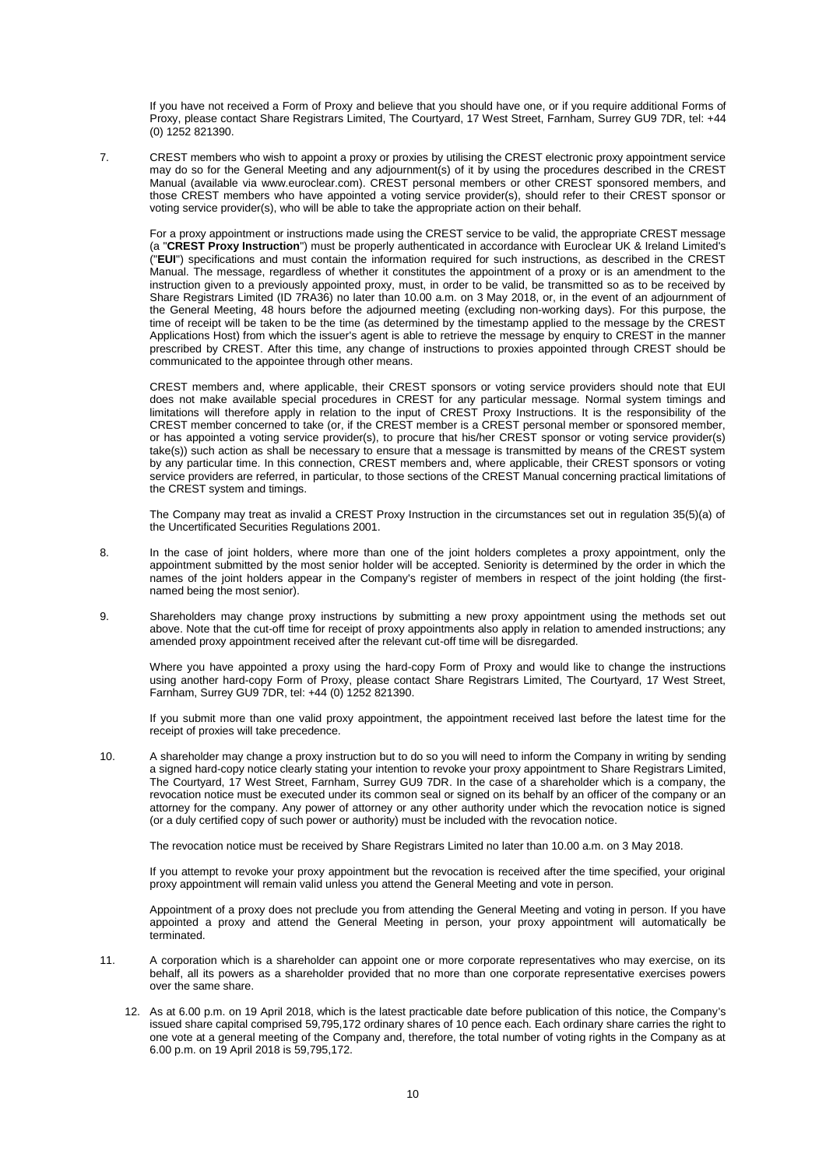If you have not received a Form of Proxy and believe that you should have one, or if you require additional Forms of Proxy, please contact Share Registrars Limited, The Courtyard, 17 West Street, Farnham, Surrey GU9 7DR, tel: +44 (0) 1252 821390.

<span id="page-9-0"></span>7. CREST members who wish to appoint a proxy or proxies by utilising the CREST electronic proxy appointment service may do so for the General Meeting and any adjournment(s) of it by using the procedures described in the CREST Manual (available via www.euroclear.com). CREST personal members or other CREST sponsored members, and those CREST members who have appointed a voting service provider(s), should refer to their CREST sponsor or voting service provider(s), who will be able to take the appropriate action on their behalf.

For a proxy appointment or instructions made using the CREST service to be valid, the appropriate CREST message (a "**CREST Proxy Instruction**") must be properly authenticated in accordance with Euroclear UK & Ireland Limited's ("**EUI**") specifications and must contain the information required for such instructions, as described in the CREST Manual. The message, regardless of whether it constitutes the appointment of a proxy or is an amendment to the instruction given to a previously appointed proxy, must, in order to be valid, be transmitted so as to be received by Share Registrars Limited (ID 7RA36) no later than 10.00 a.m. on 3 May 2018, or, in the event of an adjournment of the General Meeting, 48 hours before the adjourned meeting (excluding non-working days). For this purpose, the time of receipt will be taken to be the time (as determined by the timestamp applied to the message by the CREST Applications Host) from which the issuer's agent is able to retrieve the message by enquiry to CREST in the manner prescribed by CREST. After this time, any change of instructions to proxies appointed through CREST should be communicated to the appointee through other means.

CREST members and, where applicable, their CREST sponsors or voting service providers should note that EUI does not make available special procedures in CREST for any particular message. Normal system timings and limitations will therefore apply in relation to the input of CREST Proxy Instructions. It is the responsibility of the CREST member concerned to take (or, if the CREST member is a CREST personal member or sponsored member, or has appointed a voting service provider(s), to procure that his/her CREST sponsor or voting service provider(s) take(s)) such action as shall be necessary to ensure that a message is transmitted by means of the CREST system by any particular time. In this connection, CREST members and, where applicable, their CREST sponsors or voting service providers are referred, in particular, to those sections of the CREST Manual concerning practical limitations of the CREST system and timings.

The Company may treat as invalid a CREST Proxy Instruction in the circumstances set out in regulation 35(5)(a) of the Uncertificated Securities Regulations 2001.

- 8. In the case of joint holders, where more than one of the joint holders completes a proxy appointment, only the appointment submitted by the most senior holder will be accepted. Seniority is determined by the order in which the names of the joint holders appear in the Company's register of members in respect of the joint holding (the firstnamed being the most senior).
- 9. Shareholders may change proxy instructions by submitting a new proxy appointment using the methods set out above. Note that the cut-off time for receipt of proxy appointments also apply in relation to amended instructions; any amended proxy appointment received after the relevant cut-off time will be disregarded.

Where you have appointed a proxy using the hard-copy Form of Proxy and would like to change the instructions using another hard-copy Form of Proxy, please contact Share Registrars Limited, The Courtyard, 17 West Street, Farnham, Surrey GU9 7DR, tel: +44 (0) 1252 821390.

If you submit more than one valid proxy appointment, the appointment received last before the latest time for the receipt of proxies will take precedence.

10. A shareholder may change a proxy instruction but to do so you will need to inform the Company in writing by sending a signed hard-copy notice clearly stating your intention to revoke your proxy appointment to Share Registrars Limited, The Courtyard, 17 West Street, Farnham, Surrey GU9 7DR. In the case of a shareholder which is a company, the revocation notice must be executed under its common seal or signed on its behalf by an officer of the company or an attorney for the company. Any power of attorney or any other authority under which the revocation notice is signed (or a duly certified copy of such power or authority) must be included with the revocation notice.

The revocation notice must be received by Share Registrars Limited no later than 10.00 a.m. on 3 May 2018.

If you attempt to revoke your proxy appointment but the revocation is received after the time specified, your original proxy appointment will remain valid unless you attend the General Meeting and vote in person.

Appointment of a proxy does not preclude you from attending the General Meeting and voting in person. If you have appointed a proxy and attend the General Meeting in person, your proxy appointment will automatically be terminated.

- 11. A corporation which is a shareholder can appoint one or more corporate representatives who may exercise, on its behalf, all its powers as a shareholder provided that no more than one corporate representative exercises powers over the same share.
	- 12. As at 6.00 p.m. on 19 April 2018, which is the latest practicable date before publication of this notice, the Company's issued share capital comprised 59,795,172 ordinary shares of 10 pence each. Each ordinary share carries the right to one vote at a general meeting of the Company and, therefore, the total number of voting rights in the Company as at 6.00 p.m. on 19 April 2018 is 59,795,172.